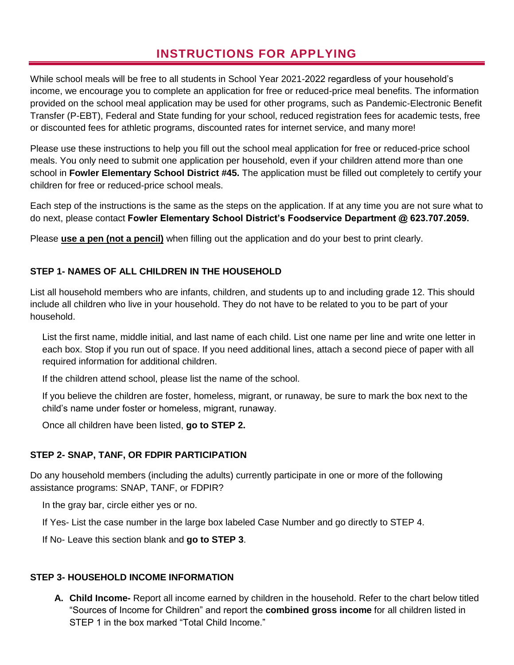### **INSTRUCTIONS FOR APPLYING**

While school meals will be free to all students in School Year 2021-2022 regardless of your household's income, we encourage you to complete an application for free or reduced-price meal benefits. The information provided on the school meal application may be used for other programs, such as Pandemic-Electronic Benefit Transfer (P-EBT), Federal and State funding for your school, reduced registration fees for academic tests, free or discounted fees for athletic programs, discounted rates for internet service, and many more!

Please use these instructions to help you fill out the school meal application for free or reduced-price school meals. You only need to submit one application per household, even if your children attend more than one school in **Fowler Elementary School District #45.** The application must be filled out completely to certify your children for free or reduced-price school meals.

Each step of the instructions is the same as the steps on the application. If at any time you are not sure what to do next, please contact **Fowler Elementary School District's Foodservice Department @ 623.707.2059.**

Please **use a pen (not a pencil)** when filling out the application and do your best to print clearly.

### **STEP 1- NAMES OF ALL CHILDREN IN THE HOUSEHOLD**

List all household members who are infants, children, and students up to and including grade 12. This should include all children who live in your household. They do not have to be related to you to be part of your household.

List the first name, middle initial, and last name of each child. List one name per line and write one letter in each box. Stop if you run out of space. If you need additional lines, attach a second piece of paper with all required information for additional children.

If the children attend school, please list the name of the school.

If you believe the children are foster, homeless, migrant, or runaway, be sure to mark the box next to the child's name under foster or homeless, migrant, runaway.

Once all children have been listed, **go to STEP 2.** 

### **STEP 2- SNAP, TANF, OR FDPIR PARTICIPATION**

Do any household members (including the adults) currently participate in one or more of the following assistance programs: SNAP, TANF, or FDPIR?

In the gray bar, circle either yes or no.

If Yes- List the case number in the large box labeled Case Number and go directly to STEP 4.

If No- Leave this section blank and **go to STEP 3**.

### **STEP 3- HOUSEHOLD INCOME INFORMATION**

**A. Child Income-** Report all income earned by children in the household. Refer to the chart below titled "Sources of Income for Children" and report the **combined gross income** for all children listed in STEP 1 in the box marked "Total Child Income."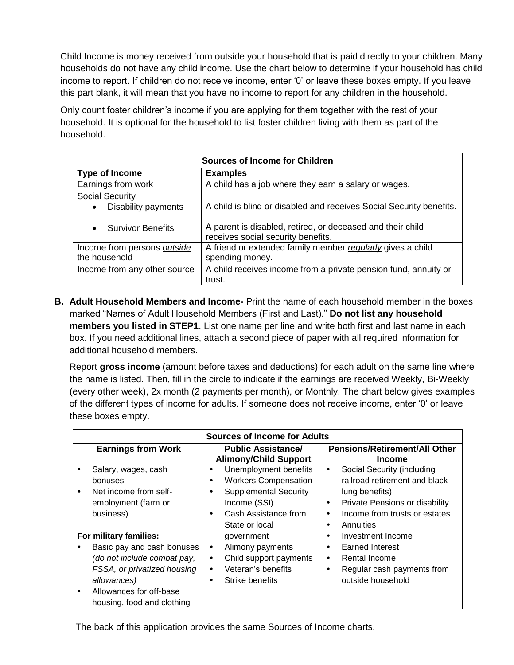Child Income is money received from outside your household that is paid directly to your children. Many households do not have any child income. Use the chart below to determine if your household has child income to report. If children do not receive income, enter '0' or leave these boxes empty. If you leave this part blank, it will mean that you have no income to report for any children in the household.

Only count foster children's income if you are applying for them together with the rest of your household. It is optional for the household to list foster children living with them as part of the household.

| <b>Sources of Income for Children</b>                                          |                                                                                                                                                                         |  |  |
|--------------------------------------------------------------------------------|-------------------------------------------------------------------------------------------------------------------------------------------------------------------------|--|--|
| <b>Type of Income</b>                                                          | <b>Examples</b>                                                                                                                                                         |  |  |
| Earnings from work                                                             | A child has a job where they earn a salary or wages.                                                                                                                    |  |  |
| <b>Social Security</b><br>Disability payments<br>٠<br><b>Survivor Benefits</b> | A child is blind or disabled and receives Social Security benefits.<br>A parent is disabled, retired, or deceased and their child<br>receives social security benefits. |  |  |
| Income from persons outside<br>the household                                   | A friend or extended family member reqularly gives a child<br>spending money.                                                                                           |  |  |
| Income from any other source                                                   | A child receives income from a private pension fund, annuity or<br>trust.                                                                                               |  |  |

**B. Adult Household Members and Income-** Print the name of each household member in the boxes marked "Names of Adult Household Members (First and Last)." **Do not list any household members you listed in STEP1**. List one name per line and write both first and last name in each box. If you need additional lines, attach a second piece of paper with all required information for additional household members.

Report **gross income** (amount before taxes and deductions) for each adult on the same line where the name is listed. Then, fill in the circle to indicate if the earnings are received Weekly, Bi-Weekly (every other week), 2x month (2 payments per month), or Monthly. The chart below gives examples of the different types of income for adults. If someone does not receive income, enter '0' or leave these boxes empty.

| Sources of Income for Adults |                                                                                                                                   |                                                                                                                                                                            |                                                                                                                                                                                   |
|------------------------------|-----------------------------------------------------------------------------------------------------------------------------------|----------------------------------------------------------------------------------------------------------------------------------------------------------------------------|-----------------------------------------------------------------------------------------------------------------------------------------------------------------------------------|
|                              | <b>Earnings from Work</b>                                                                                                         | <b>Public Assistance/</b><br><b>Alimony/Child Support</b>                                                                                                                  | <b>Pensions/Retirement/All Other</b><br><b>Income</b>                                                                                                                             |
| $\bullet$                    | Salary, wages, cash<br>bonuses<br>Net income from self-<br>employment (farm or<br>business)                                       | Unemployment benefits<br>٠<br><b>Workers Compensation</b><br>٠<br><b>Supplemental Security</b><br>$\bullet$<br>Income (SSI)<br>Cash Assistance from<br>٠<br>State or local | Social Security (including<br>٠<br>railroad retirement and black<br>lung benefits)<br>Private Pensions or disability<br>٠<br>Income from trusts or estates<br>٠<br>Annuities<br>٠ |
|                              | For military families:<br>Basic pay and cash bonuses<br>(do not include combat pay,<br>FSSA, or privatized housing<br>allowances) | government<br>Alimony payments<br>$\bullet$<br>Child support payments<br>٠<br>Veteran's benefits<br>٠<br>Strike benefits<br>٠                                              | Investment Income<br>Earned Interest<br>٠<br>Rental Income<br>٠<br>Regular cash payments from<br>٠<br>outside household                                                           |
| $\bullet$                    | Allowances for off-base<br>housing, food and clothing                                                                             |                                                                                                                                                                            |                                                                                                                                                                                   |

The back of this application provides the same Sources of Income charts.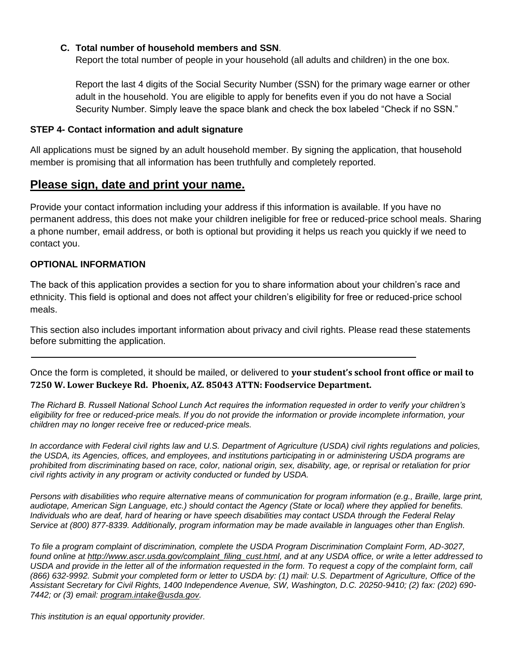#### **C. Total number of household members and SSN**.

Report the total number of people in your household (all adults and children) in the one box.

Report the last 4 digits of the Social Security Number (SSN) for the primary wage earner or other adult in the household. You are eligible to apply for benefits even if you do not have a Social Security Number. Simply leave the space blank and check the box labeled "Check if no SSN."

#### **STEP 4- Contact information and adult signature**

All applications must be signed by an adult household member. By signing the application, that household member is promising that all information has been truthfully and completely reported.

### **Please sign, date and print your name.**

Provide your contact information including your address if this information is available. If you have no permanent address, this does not make your children ineligible for free or reduced-price school meals. Sharing a phone number, email address, or both is optional but providing it helps us reach you quickly if we need to contact you.

#### **OPTIONAL INFORMATION**

The back of this application provides a section for you to share information about your children's race and ethnicity. This field is optional and does not affect your children's eligibility for free or reduced-price school meals.

This section also includes important information about privacy and civil rights. Please read these statements before submitting the application.

Once the form is completed, it should be mailed, or delivered to **your student's school front office or mail to 7250 W. Lower Buckeye Rd. Phoenix, AZ. 85043 ATTN: Foodservice Department.**

*The Richard B. Russell National School Lunch Act requires the information requested in order to verify your children's eligibility for free or reduced-price meals. If you do not provide the information or provide incomplete information, your children may no longer receive free or reduced-price meals.* 

*In accordance with Federal civil rights law and U.S. Department of Agriculture (USDA) civil rights regulations and policies, the USDA, its Agencies, offices, and employees, and institutions participating in or administering USDA programs are prohibited from discriminating based on race, color, national origin, sex, disability, age, or reprisal or retaliation for prior civil rights activity in any program or activity conducted or funded by USDA.*

*Persons with disabilities who require alternative means of communication for program information (e.g., Braille, large print, audiotape, American Sign Language, etc.) should contact the Agency (State or local) where they applied for benefits. Individuals who are deaf, hard of hearing or have speech disabilities may contact USDA through the Federal Relay Service at (800) 877-8339. Additionally, program information may be made available in languages other than English.*

*To file a program complaint of discrimination, complete the USDA Program Discrimination Complaint Form, AD-3027, found online at [http://www.ascr.usda.gov/complaint\\_filing\\_cust.html,](http://www.ascr.usda.gov/complaint_filing_cust.html) and at any USDA office, or write a letter addressed to*  USDA and provide in the letter all of the information requested in the form. To request a copy of the complaint form, call *(866) 632-9992. Submit your completed form or letter to USDA by: (1) mail: U.S. Department of Agriculture, Office of the Assistant Secretary for Civil Rights, 1400 Independence Avenue, SW, Washington, D.C. 20250-9410; (2) fax: (202) 690- 7442; or (3) email: [program.intake@usda.gov.](mailto:program.intake@usda.gov)*

*This institution is an equal opportunity provider.*